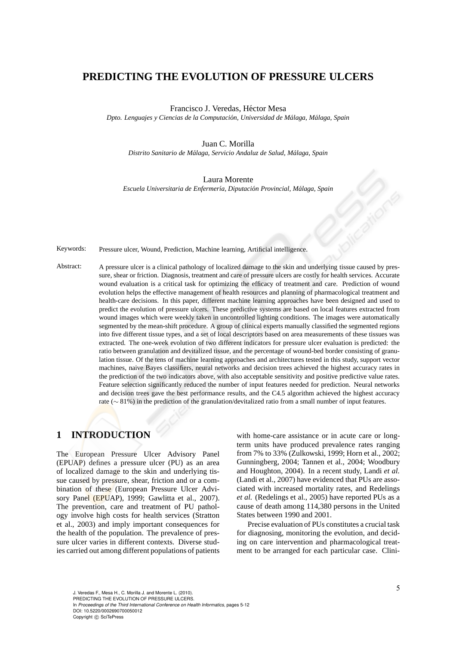## **PREDICTING THE EVOLUTION OF PRESSURE ULCERS**

#### Francisco J. Veredas, Héctor Mesa

*Dpto. Lenguajes y Ciencias de la Computaci´on, Universidad de M´alaga, M´alaga, Spain*

#### Juan C. Morilla

*Distrito Sanitario de M´alaga, Servicio Andaluz de Salud, M´alaga, Spain*

#### Laura Morente

*Escuela Universitaria de Enfermer´ıa, Diputaci´on Provincial, M´alaga, Spain*

Keywords: Pressure ulcer, Wound, Prediction, Machine learning, Artificial intelligence.

Abstract: A pressure ulcer is a clinical pathology of localized damage to the skin and underlying tissue caused by pressure, shear or friction. Diagnosis, treatment and care of pressure ulcers are costly for health services. Accurate wound evaluation is a critical task for optimizing the efficacy of treatment and care. Prediction of wound evolution helps the effective management of health resources and planning of pharmacological treatment and health-care decisions. In this paper, different machine learning approaches have been designed and used to predict the evolution of pressure ulcers. These predictive systems are based on local features extracted from wound images which were weekly taken in uncontrolled lighting conditions. The images were automatically segmented by the mean-shift procedure. A group of clinical experts manually classified the segmented regions into five different tissue types, and a set of local descriptors based on area measurements of these tissues was extracted. The one-week evolution of two different indicators for pressure ulcer evaluation is predicted: the ratio between granulation and devitalized tissue, and the percentage of wound-bed border consisting of granulation tissue. Of the tens of machine learning approaches and architectures tested in this study, support vector machines, naive Bayes classifiers, neural networks and decision trees achieved the highest accuracy rates in the prediction of the two indicators above, with also acceptable sensitivity and positive predictive value rates. Feature selection significantly reduced the number of input features needed for prediction. Neural networks and decision trees gave the best performance results, and the C4.5 algorithm achieved the highest accuracy rate (∼ 81%) in the prediction of the granulation/devitalized ratio from a small number of input features.

## **1 INTRODUCTION**

The European Pressure Ulcer Advisory Panel (EPUAP) defines a pressure ulcer (PU) as an area of localized damage to the skin and underlying tissue caused by pressure, shear, friction and or a combination of these (European Pressure Ulcer Advisory Panel (EPUAP), 1999; Gawlitta et al., 2007). The prevention, care and treatment of PU pathology involve high costs for health services (Stratton et al., 2003) and imply important consequences for the health of the population. The prevalence of pressure ulcer varies in different contexts. Diverse studies carried out among different populations of patients

with home-care assistance or in acute care or longterm units have produced prevalence rates ranging from 7% to 33% (Zulkowski, 1999; Horn et al., 2002; Gunningberg, 2004; Tannen et al., 2004; Woodbury and Houghton, 2004). In a recent study, Landi *et al.* (Landi et al., 2007) have evidenced that PUs are associated with increased mortality rates, and Redelings *et al.* (Redelings et al., 2005) have reported PUs as a cause of death among 114,380 persons in the United States between 1990 and 2001.

Precise evaluation of PUs constitutes a crucial task for diagnosing, monitoring the evolution, and deciding on care intervention and pharmacological treatment to be arranged for each particular case. Clini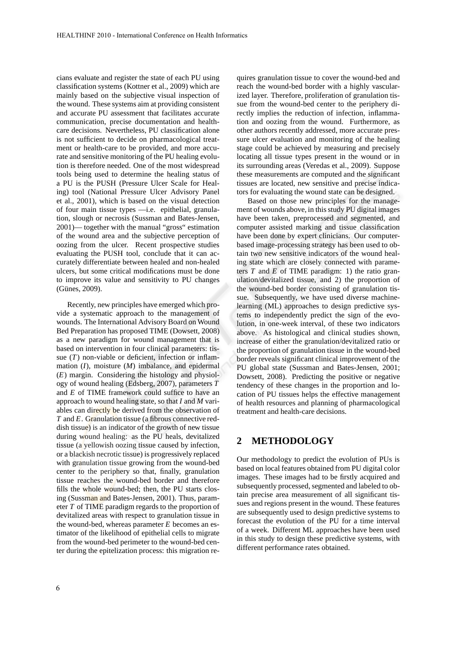cians evaluate and register the state of each PU using classification systems (Kottner et al., 2009) which are mainly based on the subjective visual inspection of the wound. These systems aim at providing consistent and accurate PU assessment that facilitates accurate communication, precise documentation and healthcare decisions. Nevertheless, PU classification alone is not sufficient to decide on pharmacological treatment or health-care to be provided, and more accurate and sensitive monitoring of the PU healing evolution is therefore needed. One of the most widespread tools being used to determine the healing status of a PU is the PUSH (Pressure Ulcer Scale for Healing) tool (National Pressure Ulcer Advisory Panel et al., 2001), which is based on the visual detection of four main tissue types —i.e. epithelial, granulation, slough or necrosis (Sussman and Bates-Jensen, 2001)— together with the manual "gross" estimation of the wound area and the subjective perception of oozing from the ulcer. Recent prospective studies evaluating the PUSH tool, conclude that it can accurately differentiate between healed and non-healed ulcers, but some critical modifications must be done to improve its value and sensitivity to PU changes (Günes, 2009).

Recently, new principles have emerged which provide a systematic approach to the management of wounds. The International Advisory Board on Wound Bed Preparation has proposed TIME (Dowsett, 2008) as a new paradigm for wound management that is based on intervention in four clinical parameters: tissue  $(T)$  non-viable or deficient, infection or inflammation (*I*), moisture (*M*) imbalance, and epidermal (*E*) margin. Considering the histology and physiology of wound healing (Edsberg, 2007), parameters *T* and *E* of TIME framework could suffice to have an approach to wound healing state, so that *I* and *M* variables can directly be derived from the observation of *T* and *E*. Granulation tissue (a fibrous connective reddish tissue) is an indicator of the growth of new tissue during wound healing: as the PU heals, devitalized tissue (a yellowish oozing tissue caused by infection, or a blackish necrotic tissue) is progressively replaced with granulation tissue growing from the wound-bed center to the periphery so that, finally, granulation tissue reaches the wound-bed border and therefore fills the whole wound-bed; then, the PU starts closing (Sussman and Bates-Jensen, 2001). Thus, parameter *T* of TIME paradigm regards to the proportion of devitalized areas with respect to granulation tissue in the wound-bed, whereas parameter *E* becomes an estimator of the likelihood of epithelial cells to migrate from the wound-bed perimeter to the wound-bed center during the epitelization process: this migration requires granulation tissue to cover the wound-bed and reach the wound-bed border with a highly vascularized layer. Therefore, proliferation of granulation tissue from the wound-bed center to the periphery directly implies the reduction of infection, inflammation and oozing from the wound. Furthermore, as other authors recently addressed, more accurate pressure ulcer evaluation and monitoring of the healing stage could be achieved by measuring and precisely locating all tissue types present in the wound or in its surrounding areas (Veredas et al., 2009). Suppose these measurements are computed and the significant tissues are located, new sensitive and precise indicators for evaluating the wound state can be designed.

Based on those new principles for the management of wounds above, in this study PU digital images have been taken, preprocessed and segmented, and computer assisted marking and tissue classification have been done by expert clinicians. Our computerbased image-processing strategy has been used to obtain two new sensitive indicators of the wound healing state which are closely connected with parameters *T* and *E* of TIME paradigm: 1) the ratio granulation/devitalized tissue, and 2) the proportion of the wound-bed border consisting of granulation tissue. Subsequently, we have used diverse machinelearning (ML) approaches to design predictive systems to independently predict the sign of the evolution, in one-week interval, of these two indicators above. As histological and clinical studies shown, increase of either the granulation/devitalized ratio or the proportion of granulation tissue in the wound-bed border reveals significant clinical improvement of the PU global state (Sussman and Bates-Jensen, 2001; Dowsett, 2008). Predicting the positive or negative tendency of these changes in the proportion and location of PU tissues helps the effective management of health resources and planning of pharmacological treatment and health-care decisions.

# **2 METHODOLOGY**

Our methodology to predict the evolution of PUs is based on local features obtained from PU digital color images. These images had to be firstly acquired and subsequently processed, segmented and labeled to obtain precise area measurement of all significant tissues and regions present in the wound. These features are subsequently used to design predictive systems to forecast the evolution of the PU for a time interval of a week. Different ML approaches have been used in this study to design these predictive systems, with different performance rates obtained.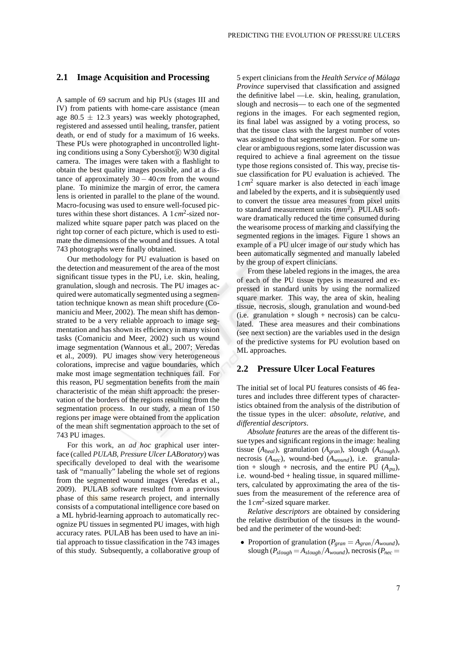### **2.1 Image Acquisition and Processing**

A sample of 69 sacrum and hip PUs (stages III and IV) from patients with home-care assistance (mean age 80.5  $\pm$  12.3 years) was weekly photographed, registered and assessed until healing, transfer, patient death, or end of study for a maximum of 16 weeks. These PUs were photographed in uncontrolled lighting conditions using a Sony Cybershot R W30 digital camera. The images were taken with a flashlight to obtain the best quality images possible, and at a distance of approximately 30 − 40*cm* from the wound plane. To minimize the margin of error, the camera lens is oriented in parallel to the plane of the wound. Macro-focusing was used to ensure well-focused pictures within these short distances. A 1*cm*<sup>2</sup> -sized normalized white square paper patch was placed on the right top corner of each picture, which is used to estimate the dimensions of the wound and tissues. A total 743 photographs were finally obtained.

Our methodology for PU evaluation is based on the detection and measurement of the area of the most significant tissue types in the PU, i.e. skin, healing, granulation, slough and necrosis. The PU images acquired were automatically segmented using a segmentation technique known as mean shift procedure (Comaniciu and Meer, 2002). The mean shift has demonstrated to be a very reliable approach to image segmentation and has shown its efficiency in many vision tasks (Comaniciu and Meer, 2002) such us wound image segmentation (Wannous et al., 2007; Veredas et al., 2009). PU images show very heterogeneous colorations, imprecise and vague boundaries, which make most image segmentation techniques fail. For this reason, PU segmentation benefits from the main characteristic of the mean shift approach: the preservation of the borders of the regions resulting from the segmentation process. In our study, a mean of 150 regions per image were obtained from the application of the mean shift segmentation approach to the set of 743 PU images.

For this work, an *ad hoc* graphical user interface (called *PULAB*, *Pressure Ulcer LABoratory*) was specifically developed to deal with the wearisome task of "manually" labeling the whole set of regions from the segmented wound images (Veredas et al., 2009). PULAB software resulted from a previous phase of this same research project, and internally consists of a computational intelligence core based on a ML hybrid-learning approach to automatically recognize PU tissues in segmented PU images, with high accuracy rates. PULAB has been used to have an initial approach to tissue classification in the 743 images of this study. Subsequently, a collaborative group of 5 expert clinicians from the *Health Service of Malaga ´ Province* supervised that classification and assigned the definitive label —i.e. skin, healing, granulation, slough and necrosis— to each one of the segmented regions in the images. For each segmented region, its final label was assigned by a voting process, so that the tissue class with the largest number of votes was assigned to that segmented region. For some unclear or ambiguous regions, some later discussion was required to achieve a final agreement on the tissue type those regions consisted of. This way, precise tissue classification for PU evaluation is achieved. The 1 cm<sup>2</sup> square marker is also detected in each image and labeled by the experts, and it is subsequently used to convert the tissue area measures from pixel units to standard measurement units (*mm*<sup>2</sup> ). PULAB software dramatically reduced the time consumed during the wearisome process of marking and classifying the segmented regions in the images. Figure 1 shows an example of a PU ulcer image of our study which has been automatically segmented and manually labeled by the group of expert clinicians.

From these labeled regions in the images, the area of each of the PU tissue types is measured and expressed in standard units by using the normalized square marker. This way, the area of skin, healing tissue, necrosis, slough, granulation and wound-bed  $(i.e.$  granulation + slough + necrosis) can be calculated. These area measures and their combinations (see next section) are the variables used in the design of the predictive systems for PU evolution based on ML approaches.

### **2.2 Pressure Ulcer Local Features**

The initial set of local PU features consists of 46 features and includes three different types of characteristics obtained from the analysis of the distribution of the tissue types in the ulcer: *absolute*, *relative*, and *differential descriptors*.

*Absolute features* are the areas of the different tissue types and significant regions in the image: healing tissue (*Aheal*), granulation (*Agran*), slough (*Aslough*), necrosis (*Anec*), wound-bed (*Awound*), i.e. granulation + slough + necrosis, and the entire PU  $(A_{pu})$ , i.e. wound-bed + healing tissue, in squared millimeters, calculated by approximating the area of the tissues from the measurement of the reference area of the 1*cm*<sup>2</sup> -sized square marker.

*Relative descriptors* are obtained by considering the relative distribution of the tissues in the woundbed and the perimeter of the wound-bed:

• Proportion of granulation ( $P_{\text{gran}} = A_{\text{gran}}/A_{\text{wound}}$ ), slough  $(P_{slowph} = A_{slowph}/A_{would})$ , necrosis  $(P_{nec} =$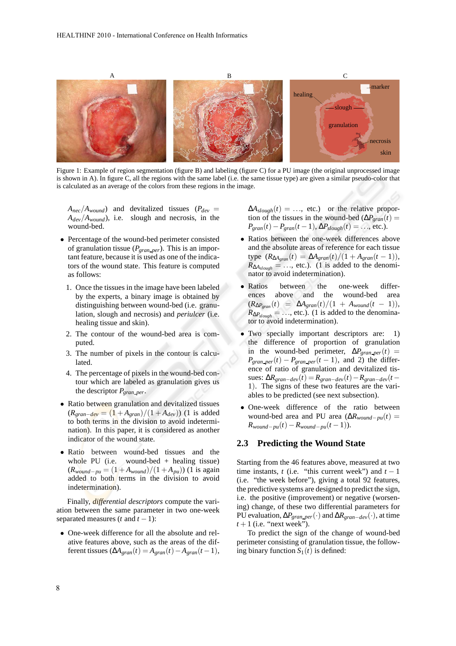

Figure 1: Example of region segmentation (figure B) and labeling (figure C) for a PU image (the original unprocessed image is shown in A). In figure C, all the regions with the same label (i.e. the same tissue type) are given a similar pseudo-color that is calculated as an average of the colors from these regions in the image.

- $A_{nec}/A_{wound}$ ) and devitalized tissues ( $P_{dev}$  = *Adev*/*Awound*), i.e. slough and necrosis, in the wound-bed.
- Percentage of the wound-bed perimeter consisted of granulation tissue (*Pgran per*). This is an important feature, because it is used as one of the indicators of the wound state. This feature is computed as follows:
	- 1. Once the tissues in the image have been labeled by the experts, a binary image is obtained by distinguishing between wound-bed (i.e. granulation, slough and necrosis) and *periulcer* (i.e. healing tissue and skin).
	- 2. The contour of the wound-bed area is computed.
	- 3. The number of pixels in the contour is calculated.
	- 4. The percentage of pixels in the wound-bed contour which are labeled as granulation gives us the descriptor *Pgran per*.
- Ratio between granulation and devitalized tissues  $(R_{\text{gran}-\text{dev}} = (1 + A_{\text{gran}})/(1 + A_{\text{dev}}))$  (1 is added to both terms in the division to avoid indetermination). In this paper, it is considered as another indicator of the wound state.
- Ratio between wound-bed tissues and the whole PU (i.e. wound-bed + healing tissue)  $(R_{\text{wound}-\text{pu}} = (1 + A_{\text{wound}})/(1 + A_{\text{pu}}))$  (1 is again added to both terms in the division to avoid indetermination).

Finally, *differential descriptors* compute the variation between the same parameter in two one-week separated measures  $(t \text{ and } t - 1)$ :

• One-week difference for all the absolute and relative features above, such as the areas of the different tissues  $(\Delta A_{\text{gram}}(t) = A_{\text{gram}}(t) - A_{\text{gram}}(t-1),$   $\Delta A_{slowph}(t) = \ldots$ , etc.) or the relative proportion of the tissues in the wound-bed ( $\Delta P_{\text{gran}}(t)$  =  $P_{\text{gran}}(t) - P_{\text{gran}}(t-1), \Delta P_{\text{slowph}}(t) = \ldots$ , etc.).

- Ratios between the one-week differences above and the absolute areas of reference for each tissue  $\textrm{type}~~(R_{\Delta A_{\textrm{gram}}}(t) = \Delta A_{\textrm{gram}}(t)/(1 + A_{\textrm{gram}}(t-1)),$  $R_{\Delta A_{slowh}} = \dots$ , etc.). (1 is added to the denominator to avoid indetermination).
- Ratios between the one-week differences above and the wound-bed area  $(R_{\Delta P_{\text{gram}}}(t) = \Delta A_{\text{gram}}(t)/(1 + A_{\text{wound}}(t - 1)),$  $R_{\Delta P_{slowph}} = \ldots$ , etc.). (1 is added to the denominator to avoid indetermination).
- Two specially important descriptors are: 1) the difference of proportion of granulation in the wound-bed perimeter,  $\Delta P_{gran\_per}(t)$  =  $P_{\text{gran\_per}}(t) - P_{\text{gran\_per}}(t-1)$ , and 2) the difference of ratio of granulation and devitalized tissues: ∆*Rgran*−*dev*(*t*)= *Rgran*−*dev*(*t*)−*Rgran*−*dev*(*t* − 1). The signs of these two features are the variables to be predicted (see next subsection).
- One-week difference of the ratio between wound-bed area and PU area  $(\Delta R_{\text{wound}-\text{pu}}(t))$  =  $R_{\text{wound}-\text{p}u}(t) - R_{\text{wound}-\text{p}u}(t-1)$ .

### **2.3 Predicting the Wound State**

Starting from the 46 features above, measured at two time instants,  $t$  (i.e. "this current week") and  $t - 1$ (i.e. "the week before"), giving a total 92 features, the predictive systems are designed to predict the sign, i.e. the positive (improvement) or negative (worsening) change, of these two differential parameters for PU evaluation, ∆*Pgran per*(·) and ∆*Rgran*−*dev*(·), at time  $t+1$  (i.e. "next week").

To predict the sign of the change of wound-bed perimeter consisting of granulation tissue, the following binary function  $S_1(t)$  is defined: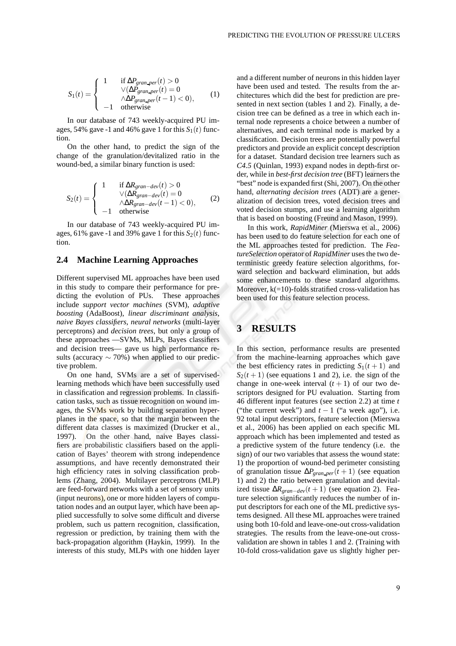$$
S_1(t) = \begin{cases} 1 & \text{if } \Delta P_{gran\_per}(t) > 0\\ \forall (\Delta P_{gran\_per}(t) = 0\\ \land \Delta P_{gran\_per}(t-1) < 0),\\ -1 & \text{otherwise} \end{cases}
$$
(1)

In our database of 743 weekly-acquired PU images, 54% gave -1 and 46% gave 1 for this  $S_1(t)$  function.

On the other hand, to predict the sign of the change of the granulation/devitalized ratio in the wound-bed, a similar binary function is used:

$$
S_2(t) = \begin{cases} 1 & \text{if } \Delta R_{gran-dev}(t) > 0\\ \forall (\Delta R_{gran-dev}(t) = 0\\ \wedge \Delta R_{gran-dev}(t-1) < 0),\\ -1 & \text{otherwise} \end{cases}
$$
(2)

In our database of 743 weekly-acquired PU images, 61% gave -1 and 39% gave 1 for this  $S_2(t)$  function.

#### **2.4 Machine Learning Approaches**

Different supervised ML approaches have been used in this study to compare their performance for predicting the evolution of PUs. These approaches include *support vector machines* (SVM), *adaptive boosting* (AdaBoost), *linear discriminant analysis*, *naive Bayes classifiers*, *neural networks* (multi-layer perceptrons) and *decision trees*, but only a group of these approaches —SVMs, MLPs, Bayes classifiers and decision trees— gave us high performance results (accuracy  $\sim$  70%) when applied to our predictive problem.

On one hand, SVMs are a set of supervisedlearning methods which have been successfully used in classification and regression problems. In classification tasks, such as tissue recognition on wound images, the SVMs work by building separation hyperplanes in the space, so that the margin between the different data classes is maximized (Drucker et al., 1997). On the other hand, naive Bayes classifiers are probabilistic classifiers based on the application of Bayes' theorem with strong independence assumptions, and have recently demonstrated their high efficiency rates in solving classification problems (Zhang, 2004). Multilayer perceptrons (MLP) are feed-forward networks with a set of sensory units (input neurons), one or more hidden layers of computation nodes and an output layer, which have been applied successfully to solve some difficult and diverse problem, such us pattern recognition, classification, regression or prediction, by training them with the back-propagation algorithm (Haykin, 1999). In the interests of this study, MLPs with one hidden layer and a different number of neurons in this hidden layer have been used and tested. The results from the architectures which did the best for prediction are presented in next section (tables 1 and 2). Finally, a decision tree can be defined as a tree in which each internal node represents a choice between a number of alternatives, and each terminal node is marked by a classification. Decision trees are potentially powerful predictors and provide an explicit concept description for a dataset. Standard decision tree learners such as *C4.5* (Quinlan, 1993) expand nodes in depth-first order, while in *best-first decision tree* (BFT) learners the "best" node is expanded first (Shi, 2007). On the other hand, *alternating decision trees* (ADT) are a generalization of decision trees, voted decision trees and voted decision stumps, and use a learning algorithm that is based on boosting (Freund and Mason, 1999).

In this work, *RapidMiner* (Mierswa et al., 2006) has been used to do feature selection for each one of the ML approaches tested for prediction. The *FeatureSelection* operator of *RapidMiner* uses the two deterministic greedy feature selection algorithms, forward selection and backward elimination, but adds some enhancements to these standard algorithms. Moreover,  $k(=10)$ -folds stratified cross-validation has been used for this feature selection process.

## **3 RESULTS**

In this section, performance results are presented from the machine-learning approaches which gave the best efficiency rates in predicting  $S_1(t+1)$  and  $S_2(t+1)$  (see equations 1 and 2), i.e. the sign of the change in one-week interval  $(t + 1)$  of our two descriptors designed for PU evaluation. Starting from 46 different input features (see section 2.2) at time *t* ("the current week") and  $t - 1$  ("a week ago"), i.e. 92 total input descriptors, feature selection (Mierswa et al., 2006) has been applied on each specific ML approach which has been implemented and tested as a predictive system of the future tendency (i.e. the sign) of our two variables that assess the wound state: 1) the proportion of wound-bed perimeter consisting of granulation tissue  $\Delta P_{\text{gran\_per}}(t+1)$  (see equation 1) and 2) the ratio between granulation and devitalized tissue  $\Delta R_{\text{gran}-dev}(t+1)$  (see equation 2). Feature selection significantly reduces the number of input descriptors for each one of the ML predictive systems designed. All these ML approaches were trained using both 10-fold and leave-one-out cross-validation strategies. The results from the leave-one-out crossvalidation are shown in tables 1 and 2. (Training with 10-fold cross-validation gave us slightly higher per-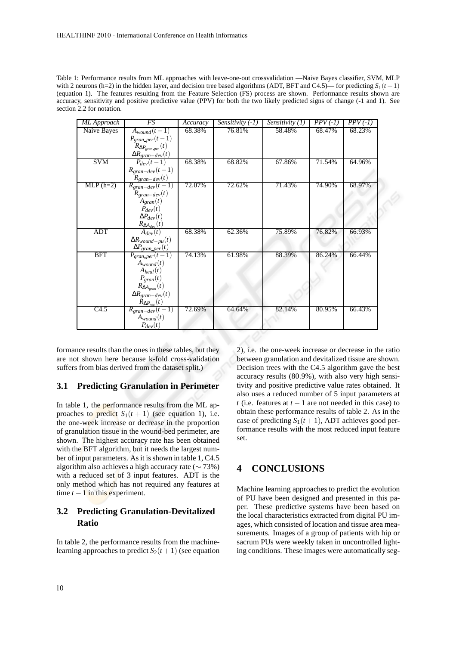| ML Approach | $\overline{FS}$                               | Accuracy | Sensitivity $(-1)$ | Sensitivity $(1)$ | $PPV(-1)$ | $PPV(-1)$ |
|-------------|-----------------------------------------------|----------|--------------------|-------------------|-----------|-----------|
| Naive Bayes | $A_{wound}(t-1)$                              | 68.38%   | 76.81%             | 58.48%            | 68.47%    | 68.23%    |
|             | $P_{gram\_per}(t-1)$                          |          |                    |                   |           |           |
|             | $R_{\Delta P_{gran\_per}}(t)$                 |          |                    |                   |           |           |
|             | $\frac{\Delta R_{gran-dev}(t)}{P_{dev}(t-1)}$ |          |                    |                   |           |           |
| <b>SVM</b>  |                                               | 68.38%   | 68.82%             | 67.86%            | 71.54%    | 64.96%    |
|             | $R_{gran-dev}(t-1)$                           |          |                    |                   |           |           |
|             | $R_{gran-dev}(t)$                             |          |                    |                   |           |           |
| $MLP(h=2)$  | $R_{gran-dev}(t-1)$                           | 72.07%   | 72.62%             | 71.43%            | 74.90%    | 68.97%    |
|             | $R_{gran-dev}(t)$                             |          |                    |                   |           |           |
|             | $A_{gram}(t)$                                 |          |                    |                   |           |           |
|             | $\overline{P}_{dev}(t)$                       |          |                    |                   |           |           |
|             | $\Delta P_{dev}(t)$                           |          |                    |                   |           |           |
|             | $\frac{R_{\Delta A_{dev}}(t)}{A_{dev}(t)}$    |          |                    |                   |           |           |
| <b>ADT</b>  |                                               | 68.38%   | 62.36%             | 75.89%            | 76.82%    | 66.93%    |
|             | $\Delta R_{wound-pu}(t)$                      |          |                    |                   |           |           |
|             | $\Delta P_{gran\_per}(t)$                     |          |                    |                   |           |           |
| <b>BFT</b>  | $P_{\text{gran\_per}}(t-1)$                   | 74.13%   | 61.98%             | 88.39%            | 86.24%    | 66.44%    |
|             | $A_{wound}(t)$                                |          |                    |                   |           |           |
|             | $A_{heal}(t)$                                 |          |                    |                   |           |           |
|             | $P_{gram}(t)$                                 |          |                    |                   |           |           |
|             | $R_{\Delta A_{gram}}(t)$                      |          |                    |                   |           |           |
|             | $\Delta R_{gran-dev}(t)$                      |          |                    |                   |           |           |
|             | $\bar{R}_{\Delta P_{\text{nec}}}(t)$          |          |                    |                   |           |           |
| C4.5        | $R_{\text{gran-dev}}(t-1)$                    | 72.69%   | 64.64%             | 82.14%            | 80.95%    | 66.43%    |
|             | $A_{wound}(t)$                                |          |                    |                   |           |           |
|             | $P_{dev}(t)$                                  |          |                    |                   |           |           |

formance results than the ones in these tables, but they are not shown here because k-fold cross-validation suffers from bias derived from the dataset split.)

#### **3.1 Predicting Granulation in Perimeter**

In table 1, the performance results from the ML approaches to predict  $S_1(t + 1)$  (see equation 1), i.e. the one-week increase or decrease in the proportion of granulation tissue in the wound-bed perimeter, are shown. The highest accuracy rate has been obtained with the BFT algorithm, but it needs the largest number of input parameters. As it is shown in table 1, C4.5 algorithm also achieves a high accuracy rate ( $\sim$  73%) with a reduced set of 3 input features. ADT is the only method which has not required any features at time  $t - 1$  in this experiment.

### **3.2 Predicting Granulation-Devitalized Ratio**

In table 2, the performance results from the machinelearning approaches to predict  $S_2(t+1)$  (see equation 2), i.e. the one-week increase or decrease in the ratio between granulation and devitalized tissue are shown. Decision trees with the C4.5 algorithm gave the best accuracy results (80.9%), with also very high sensitivity and positive predictive value rates obtained. It also uses a reduced number of 5 input parameters at *t* (i.e. features at *t* − 1 are not needed in this case) to obtain these performance results of table 2. As in the case of predicting  $S_1(t+1)$ , ADT achieves good performance results with the most reduced input feature set.

# **4 CONCLUSIONS**

Machine learning approaches to predict the evolution of PU have been designed and presented in this paper. These predictive systems have been based on the local characteristics extracted from digital PU images, which consisted of location and tissue area measurements. Images of a group of patients with hip or sacrum PUs were weekly taken in uncontrolled lighting conditions. These images were automatically seg-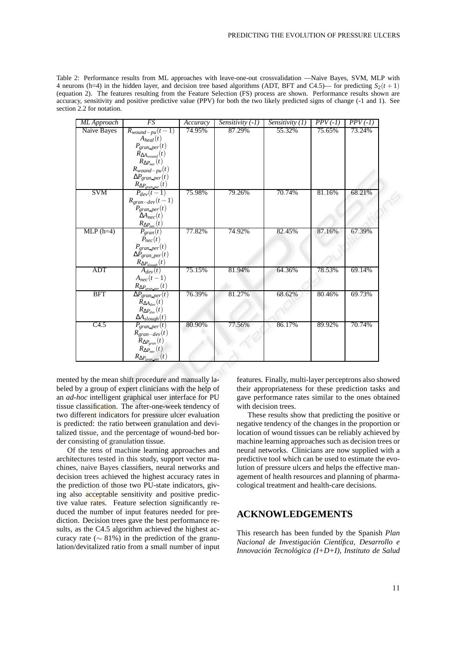Table 2: Performance results from ML approaches with leave-one-out crossvalidation —Naive Bayes, SVM, MLP with 4 neurons (h=4) in the hidden layer, and decision tree based algorithms (ADT, BFT and C4.5)— for predicting  $S_2(t+1)$ (equation 2). The features resulting from the Feature Selection (FS) process are shown. Performance results shown are accuracy, sensitivity and positive predictive value (PPV) for both the two likely predicted signs of change (-1 and 1). See section 2.2 for notation.

| ML Approach | FS                                                                | Accuracy | $Sensitivity(-1)$ | Sensitivity $(1)$ | $PPV(-1)$ | $\overline{PPV}$ (-1) |
|-------------|-------------------------------------------------------------------|----------|-------------------|-------------------|-----------|-----------------------|
| Naive Bayes | $R_{wound-pu}(t-1)$                                               | 74.95%   | 87.29%            | 55.32%            | 75.65%    | 73.24%                |
|             | $A_{heal}(t)$                                                     |          |                   |                   |           |                       |
|             | $P_{gram\_per}(t)$                                                |          |                   |                   |           |                       |
|             | $R_{\Delta A_{wound}}(t)$<br>$R_{\Delta P_{nec}}(t)$              |          |                   |                   |           |                       |
|             | $R_{wound-pu}(t)$                                                 |          |                   |                   |           |                       |
|             | $\Delta P_{gran\_per}(t)$                                         |          |                   |                   |           |                       |
|             | $R_{\Delta P_{gram\_per}}(t)$                                     |          |                   |                   |           |                       |
| SVM         | $P_{dev}(t-1)$                                                    | 75.98%   | 79.26%            | 70.74%            | 81.16%    | 68.21%                |
|             | $R_{gran-dev}(t-1)$                                               |          |                   |                   |           |                       |
|             | $P_{gran\_per}(t)$<br>$\Delta A_{nec}(t)$                         |          |                   |                   |           |                       |
|             |                                                                   |          |                   |                   |           |                       |
| $MLP(h=4)$  | $R_{\Delta P_{\text{nec}}}(t)$<br>$P_{gram}(t)$                   | 77.82%   | 74.92%            | 82.45%            | 87.16%    | 67.39%                |
|             | $P_{\text{nec}}(t)$                                               |          |                   |                   |           |                       |
|             | $P_{gran\_per}(t)$                                                |          |                   |                   |           |                       |
|             |                                                                   |          |                   |                   |           |                       |
|             | $\frac{\Delta \check{P}_{gran\_per}(t)}{R_{\Delta P_{slowh}}(t)}$ |          |                   |                   |           |                       |
| <b>ADT</b>  | $A_{dev}(t)$                                                      | 75.15%   | 81.94%            | 64.36%            | 78.53%    | 69.14%                |
|             | $A_{nec}(t-1)$                                                    |          |                   |                   |           |                       |
|             | $R_{\Delta P_{gran\_per}}(t)$                                     |          |                   |                   |           |                       |
| <b>BFT</b>  | $\overline{\Delta P_{gran\_per}(t)}$                              | 76.39%   | 81.27%            | 68.62%            | 80.46%    | 69.73%                |
|             | $R_{\Delta A_{dev}}(t)$                                           |          |                   |                   |           |                       |
|             | $R_{\Delta P_{dev}}(t)$                                           |          |                   |                   |           |                       |
| C4.5        | $\Delta A_{slowph}(t)$<br>$P_{gram\_per}(t)$                      | 80.90%   | 77.56%            | 86.17%            | 89.92%    | 70.74%                |
|             | $R_{gran-dey}(t)$                                                 |          |                   |                   |           |                       |
|             | $R_{\Delta P_{gran}}(t)$                                          |          |                   |                   |           |                       |
|             | $R_{\Delta P_{\text{nec}}}(t)$                                    |          |                   |                   |           |                       |
|             | $R_{\Delta P_{gram\_per}}(t)$                                     |          |                   |                   |           |                       |

mented by the mean shift procedure and manually labeled by a group of expert clinicians with the help of an *ad-hoc* intelligent graphical user interface for PU tissue classification. The after-one-week tendency of two different indicators for pressure ulcer evaluation is predicted: the ratio between granulation and devitalized tissue, and the percentage of wound-bed border consisting of granulation tissue.

Of the tens of machine learning approaches and architectures tested in this study, support vector machines, naive Bayes classifiers, neural networks and decision trees achieved the highest accuracy rates in the prediction of those two PU-state indicators, giving also acceptable sensitivity and positive predictive value rates. Feature selection significantly reduced the number of input features needed for prediction. Decision trees gave the best performance results, as the C4.5 algorithm achieved the highest accuracy rate ( $\sim$  81%) in the prediction of the granulation/devitalized ratio from a small number of input features. Finally, multi-layer perceptrons also showed their appropriateness for these prediction tasks and gave performance rates similar to the ones obtained with decision trees.

These results show that predicting the positive or negative tendency of the changes in the proportion or location of wound tissues can be reliably achieved by machine learning approaches such as decision trees or neural networks. Clinicians are now supplied with a predictive tool which can be used to estimate the evolution of pressure ulcers and helps the effective management of health resources and planning of pharmacological treatment and health-care decisions.

### **ACKNOWLEDGEMENTS**

This research has been funded by the Spanish *Plan Nacional de Investigacion Cient ´ ´ıfica, Desarrollo e Innovacion Tecnol ´ ogica (I+D+I) ´* , *Instituto de Salud*